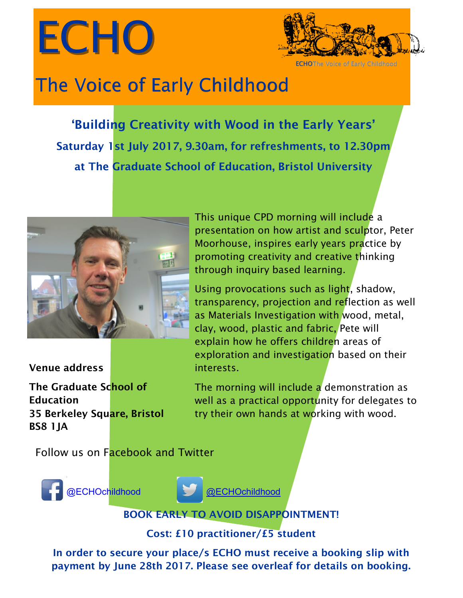



**ECHOThe Voice of Early Childhood** 

# The Voi[ce of Early Childhood](https://twitter.com/ECHOchildhood?lang=en-gb)

 **Saturday 1st July 2017, 9.30am, for refreshments, to 12.30pm 'Building Creativity with Wood in the Early Years' at The Graduate School of Education, Bristol University**



**Venue address**

**The Graduate School of Education 35 Berkeley Square, Bristol BS8 1JA**

This unique CPD morning will include a presentation on how artist and sculptor, Peter Moorhouse, inspires early years practice by promoting creativity and creative thinking through inquiry based learning.

Using provocations such as light, shadow, transparency, projection and reflection as well as Materials Investigation with wood, metal, clay, wood, plastic and fabric, Pete will explain how he offers children areas of exploration and investigation based on their interests.

The morning will include a demonstration as well as a practical opportunity for delegates to try their own hands at working with wood.

Follow us on Facebook and Twitter





**BOOK EARLY TO AVOID DISAPPOINTMENT!** 

**Cost: £10 practitioner/£5 student**

**In order to secure your place/s ECHO must receive a booking slip with payment by June 28th 2017. Please see overleaf for details on booking.**